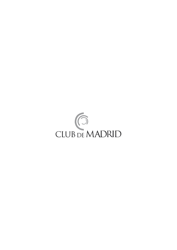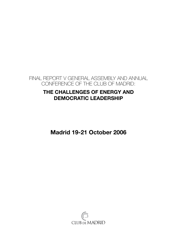

## **The Challenges of Energy and Democratic Leadership**

**Madrid 19-21 October 2006**

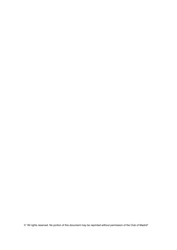© "All rights reserved. No portion of this document may be reprinted without permission of the Club of Madrid"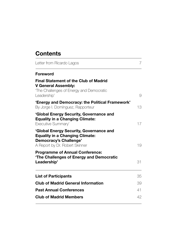## **Contents**

| Letter from Ricardo Lagos                                                                                                                            | 7  |
|------------------------------------------------------------------------------------------------------------------------------------------------------|----|
| <b>Foreword</b>                                                                                                                                      |    |
| <b>Final Statement of the Club of Madrid</b><br><b>V General Assembly:</b><br>'The Challenges of Energy and Democratic<br>Leadership'                | 9  |
| 'Energy and Democracy: the Political Framework'<br>By Jorge I. Domínguez, Rapporteur                                                                 | 13 |
| 'Global Energy Security, Governance and<br><b>Equality in a Changing Climate:</b><br>Executive Summary'                                              | 17 |
| 'Global Energy Security, Governance and<br><b>Equality in a Changing Climate:</b><br><b>Democracy's Challenge'</b><br>A Report by Dr. Robert Skinner | 19 |
| <b>Programme of Annual Conference:</b><br>'The Challenges of Energy and Democratic<br>Leadership'                                                    | 31 |
| <b>List of Participants</b>                                                                                                                          | 35 |
| <b>Club of Madrid General Information</b>                                                                                                            | 39 |
| <b>Past Annual Conferences</b>                                                                                                                       | 41 |
| <b>Club of Madrid Members</b>                                                                                                                        | 42 |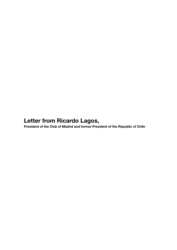# **Letter from Ricardo Lagos,**

**President of the Club of Madrid and former President of the Republic of Chile**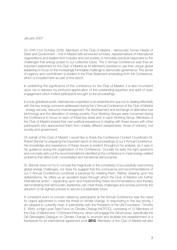#### January 2007

On 20th-21st October 2006, Members of the Club of Madrid – democratic former Heads of State and Government – met in Madrid with renowned scholars, representatives of international organizations and leaders from industry and civil society, to formulate practical responses to the challenges that energy poses to our collective future. The V Annual Conference was thus an important watershed for the Club of Madrid as its Members resolved to use their unique global leadership to focus on this increasingly formidable challenge to democratic governance. This sense of urgency and commitment is evident in the Final Statement emanating from the Conference, which is included here as part of this report.

In underlining the significance of this conference for the Club of Madrid, it is also incumbent upon me to express my profound appreciation of the outstanding expertise and spirit of open engagement which invited participants brought to the proceedings.

In a truly globalized world, international cooperation is an essential *sine qua non* to dealing effectively with the key energy concerns addressed during the V Annual Conference of the Club of Madrid - energy security, resource mismanagement, the development and exchange of alternative fuel technology and the alleviation of energy poverty. Four Working Groups were convened during the Conference to focus on each of these key areas and, in each Working Group, Members of the Club of Madrid shared their own political experience in dealing with these issues with other participants who approached them from notably different perspectives, those of industry, civil society and government.

On behalf of the Club of Madrid, I would like to thank the Conference Content Coordinator Dr. Robert Skinner for preparing this important report on the proceedings of our V Annual Conference. His knowledge and experience of these issues is evident throughout his analysis, as it was in his guidance during the organization of the Conference. Crucially he asks the right questions and concisely sets out the recommendations identified at the conference to meet energy-related problems that affect both consolidated and transitional democracies.

Dr. Skinner does not try to conceal the magnitude or the complexity of successfully overcoming global energy challenges, nor does he suggest that the conclusions and recommendations of our V Annual Conference constitute a panacea for meeting them. Rather, drawing upon the deliberations, he offers us an excellent basis through which the Club of Madrid can further international action – expanding upon and implementing these recommendations and thereby demonstrating that democratic leadership can meet these challenges and actively promote the adoption of far-sighted policies to secure a sustainable future.

A consistent point of concern raised by participants at the Annual Conference was the need for urgent adjustment to meet the threat of climate change. In responding to this key priority, I am pleased to currently chair, in partnership with the President of the UN Foundation, Timothy E. Wirth, a High Level Task Force on Climate Change (HLTFCC), consisting of 12 Members of the Club of Madrid and 10 Eminent Persons, which will engage the G8 process, specifically the G8 Gleneagles Dialogue on Climate Change to promote and facilitate the establishment of a framework for an international agreement post-**2012**. Members of the Club of Madrid will also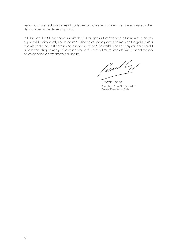begin work to establish a series of guidelines on how energy poverty can be addressed within democracies in the developing world.

In his report, Dr. Skinner concurs with the IEA prognosis that "we face a future where energy supply will be dirty, costly and insecure." Rising costs of energy will also maintain the global *status quo* where the poorest have no access to electricity. "The world is on an energy treadmill and it is both speeding up and getting much steeper." It is now time to step off. We must get to work on establishing a new energy equilibrium.

Mail G/

Ricardo Lagos President of the Club of Madrid Former President of Chile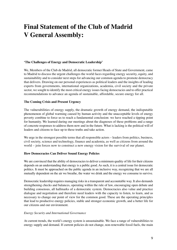# **Final Statement of the Club of Madrid V General Assembly:**

#### **'The Challenges of Energy and Democratic Leadership'**

We, Members of the Club de Madrid, all democratic former Heads of State and Government, came to Madrid to discuss the urgent challenges the world faces regarding energy security, equity, and sustainability and to consider next steps for advancing our common agenda to promote democracy that delivers. Drawing on our personal experiences as political leaders and the insights of leading experts from governments, international organizations, academia, civil society and the private sector, we sought to identify the most critical energy issues facing democracies and to offer practical recommendations to advance an agenda of sustainable, affordable, secure energy for all.

#### **The Coming Crisis and Present Urgency**

The vulnerabilities of energy supply, the dramatic growth of energy demand, the indisputable phenomenon of global warming caused by human activity and the unacceptable levels of energy poverty combine to force us to reach a fundamental conclusion: we have reached a tipping point for humanity. We learned during our meetings about the diagnoses of these problems and a range of concrete responses to address them now and in the future. What is lacking is the political will of leaders and citizens to face up to these truths and take action.

We urge in the strongest possible terms that all responsible actors – leaders from politics, business, civil society, science and technology, finance and academia, as well as citizens from around the world – join forces now to construct a new energy vision for the survival of our planet.

#### **How Democracies Can Deliver Sound Energy Policies**

We are convinced that the ability of democracies to deliver a minimum quality of life for their citizens depends on an understanding that energy is a public good. As such, it is a central issue for democratic politics. It must be approached on the public agenda in an inclusive way, recognizing that we are all mutually dependent on the air we breathe, the water we drink and the energy we consume to survive.

Democratic leadership requires managing risks in a transparent and accountable way. It also demands strengthening checks and balances, operating within the rule of law, encouraging open debate and building consensus, all hallmarks of a democratic system. Democracies also value and practice dialogue and negotiation and therefore need leaders with the capacity to listen, to learn, and as necessary to change our point of view for the common good. These are the operating principles that lead to productive energy policies, stable and stronger economic growth, and a better life for our citizens and our environment.

#### *Energy Security and International Governance*

At current trends, the world's energy system is unsustainable. We face a range of vulnerabilities to energy supply and demand. If current policies do not change, non-renewable fossil fuels, the main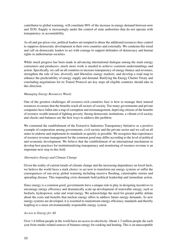contributor to global warming, will constitute 90% of the increase in energy demand between now and 2030. Supply is increasingly under the control of state authorities that do not operate with transparency or accountability.

As oil and gas prices rise, political leaders are tempted to abuse the additional resources they control to suppress democratic development in their own countries and externally. We condemn this trend and call on democratic leaders to act with courage to support defenders of democracy and human rights in authoritarian societies.

While much progress has been made in advancing international dialogue among the main energy consumers and producers, much more work is needed to achieve common understandings and action. Specifically, we call on all countries to increase transparency of energy finance and revenues, strengthen the rule of law, diversify and liberalize energy markets, and develop a road map to enhance the predictability of energy supply and demand. Ratifying the Energy Charter Treaty and concluding negotiations for its Transit Protocol are key steps all eligible countries should take in this direction.

#### *Managing Energy Resources Wisely*

One of the greatest challenges all resource-rich countries face is how to manage their natural resources to ensure that the benefits reach all sectors of society. Too many governments and private companies have fallen into a trap of corruption and mismanagement, depriving citizens of the benefits of resource wealth instead of fighting poverty. Strong democratic institutions, a vibrant civil society and checks and balances are the best ways to address this problem.

We commend the establishment of the Extractive Industries Transparency Initiative as a positive example of cooperation among governments, civil society and the private sector and we call on all states to endorse and implement its standards as quickly as possible. We recognize that experiences of resource revenue management for the common good may differ according to the level of political and economic development. We believe that the establishment of an international mechanism to develop best practices for institutionalizing transparency and monitoring of resource revenue is an important next step in this field.

#### *Alternative Energy and Climate Change*

Given the reality of current trends of climate change and the increasing dependence on fossil fuels, we believe the world faces a stark choice: to act now to transform our energy systems or suffer the consequences of run-away global warming including massive flooding, catastrophic storms and spreading disease. This impending crisis demands bold political leadership and immediate action.

Since energy is a common good, governments have a unique role to play in designing incentives to encourage energy efficiency and dramatically scale up development of renewable energy, such as biofuels, hydropower, solar and wind energy. We acknowledge the need for greater public debate about the costs and benefits that nuclear energy offers to address future energy demands. As new energy systems are developed, it is essential to mainstream energy efficiency standards and thereby leapfrog to a more environmentally responsible energy system.

#### *Access to Energy for All*

Over 1.6 billion people in the world have no access to electricity. About 1.3 million people die each year from smoke-related sources of biomass energy for cooking and heating. This is an unacceptable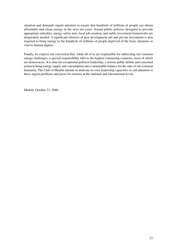situation and demands urgent attention to ensure that hundreds of millions of people can obtain affordable and clean energy in the next ten years. Sound public policies designed to provide appropriate subsidies, energy safety nets, local job creation, and stable investment frameworks are desperately needed. A significant infusion of new development aid and private investment is also required to bring energy to the hundreds of millions of people deprived of the basic elements so vital to human dignity.

Finally, we express our conviction that, while all of us are responsible for addressing our common energy challenges, a special responsibility falls to the highest consuming countries, most of which are democracies. It is time for exceptional political leadership, a serious public debate and concerted action to bring energy supply and consumption into a sustainable balance for the sake of our common humanity. The Club of Madrid intends to dedicate its own leadership capacities to call attention to these urgent problems and press for reforms at the national and international levels.

Madrid, October 21, 2006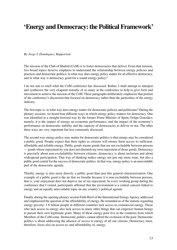## **'Energy and Democracy: the Political Framework'**

*By Jorge I. Domínguez, Rapporteur*

The mission of the Club of Madrid (CoM) is to foster democracies that deliver. From that mission, two broad topics deserve emphasis to understand the relationship between energy policies and practices and democratic politics; in what way does energy policy matter for an effective democracy, and in what way is democracy good for a sound energy policy?

I do not aim to retell what the CoM conference has discussed. Rather, I shall attempt to interpret and synthesize the very eloquent remarks of so many at the conference to help to give form and movement to achieve the mission of the CoM. These paragraphs deliberately emphasize that portion of the conference's discussion that focused on democracy rather than the particulars of the energy industry.

The first topic is: in what way does energy matter for democratic policies and politicians? During the plenary sessions, we heard four different ways in which energy policy matters for democracy. One was identified in a straight-forward way by the former Prime Minister of Spain, Felipe González; namely, it is the impact of energy on economic performance, and the impact of the economy's performance on democratic stability and the capacity of democracies to deliver or not. The other three ways are very important but less commonly discussed.

The second way energy policy may matter for democratic politics is that energy may be considered a public good. People expect that their rights as citizens will ensure them access to sufficient, affordable and reliable energy. Public goods means goods that are not excludable between persons — goods whose enjoyment by you does not diminish my own enjoyment of those goods. Democracy is precisely about non-excludability between citizens; democracy is about inclusion and about widespread participation. That way of thinking makes energy not just one more issue, but also a public good central for the success of democratic politics. In that way, energy policy is an unavoidable part of the democratic agenda.

Thirdly, energy is also more directly a public good than just this general characterization. One example of a public good is the air that we breathe because it is non-excludable between persons, that is, your enjoyment does not deprive me of my enjoyment. In every working group during the conference that I visited, participants affirmed that the environment is a central concern linked to energy and an equally unavoidable topic on any country's political agenda.

Finally, during the opening plenary session Fatih Birol of the International Energy Agency addressed and emphasized the question of the affordability of energy. He reminded us of the statistic regarding energy poverty: 1.6 billion people in different countries lack access to commercial energy. Those who lack access to energy also lack access to many other things that can empower human beings to pursue their own legitimate goals. Many of these energy-poor live in the countries from which Members of the CoM come. Democratic politics cannot afford the exclusion of the poor. Democratic politics is about addressing the absence of access to energy of all our citizens. Democracy must, therefore, focus also on access to, and affordability of, energy.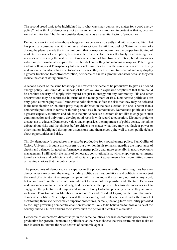The second broad topic to be highlighted is: in what ways may democracy matter for a good energy policy? Let us think of democracy, not just as an item of consumption, important as that is, because we value it for itself, but let us consider democracy as an essential factor of production.

Democracy works best when those who govern us do so transparently and with accountability. That has practical consequences; it is not just an abstract idea. Jannik Lindbaek of Statoil in his remarks during the plenary made the important point that corruption undermines the proper functioning of markets. Because of corruption, business enterprises perform less effectively in advancing their interests or in serving the rest of us. Democracies are not free from corruption, but democracies indeed outperform dictatorships in the likelihood of controlling and reducing corruption. Peter Eigen and his colleagues at Transparency International make the case that the sun shines more effectively in democratic countries than in autocracies. Because they can be more transparent and may display a greater likelihood to control corruption, democracies can be a production factor because they can reduce the cost of doing business.

A second aspect of the same broad topic is how can democracies be productive to give us a sound energy policy. Guillermo de la Dehesa of the Aviva Group expressed scepticism that there could be absolute security of supply with regard not just to energy but any commodity. His and other observations may be rephrased in terms of the management of risk. Democratic politicians are very good at managing risks. Democratic politicians must face the risk that they may be defeated in the next election or that their party may be defeated in the next election. No one is better than a democratic politician in terms of thinking about risk in democracies. Democratic politicians have a greater capacity to inform and educate the public because dictators do not like to engage in such communication and only rarely develop good records with regard to education. Dictators prefer to dictate, not to educate. Democracy values and emphasizes the importance of public debate, including debate about risks and the choices before citizens no matter what they may be. Nuclear power or other matters highlighted during our discussions lend themselves quite well to such public debate about opportunities and risks.

Thirdly, democracy's procedures may also be productive for a sound energy policy. Paul Collier of Oxford University brought this concern to our attention in his remarks regarding the importance of checks and balances for good performance in energy policy and, more generally, in macro-economic management. I will label it the value of democratic constitutionalism, which empowers governments to make choices and politicians and civil society to prevent governments from committing abuses or making choices that the public detests.

The procedures of democracy are superior to the procedures of authoritarian regimes because democracies can commit the many, including political parties, coalitions and politicians — not just the word of a dictator. Any energy company will trust us more if it can rely not just on my word, but on our word, on the word of those who act to make politics possible and effective. Decisions in democracies are to be made slowly, as democracies often proceed, because democracies seek to engage all the potential vital players and are more likely to do that precisely because they are more inclusive. Thus two of our Members, President Frei and President Lagos, can tell you that under democratic politics Chile outperformed the economic growth rates achieved under the Pinochet dictatorship thanks to democracy's superior procedures, namely, the long-term credibility provided by the large governing democratic coalition was more likely to be believable to those outside of the country and to Chilean citizens themselves than the personal dictates of a dictator.

Democracies outperform dictatorships in the same countries because democratic procedures are productive for growth. Democratic politicians at their best choose the wise restraints that make us free in order to liberate the wise actions of economic agents.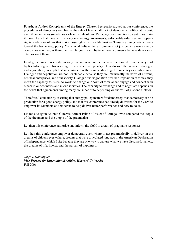Fourth, as Andrei Konoplyanik of the Energy Charter Secretariat argued at our conference, the procedures of democracy emphasize the rule of law, a hallmark of democratic politics at its best, even if democracies sometimes violate the rule of law. Reliable, consistent, transparent rules make it more likely that there will be long-term energy investments, enforceable rules, secure property rights, and courts of law that make those rights valid and defensible. Those are democratic answers toward the best energy policy. You should believe these arguments not just because some energy companies may favour them, but mainly you should believe these arguments because democratic citizens want them.

Finally, the procedures of democracy that are most productive were mentioned from the very start by Ricardo Lagos in his opening of the conference plenary. He addressed the values of dialogue and negotiation, concepts that are consistent with the understanding of democracy as a public good. Dialogue and negotiation are non- excludable because they are intrinsically inclusive of citizens, business enterprises, and civil society. Dialogue and negotiation preclude imposition of views; they mean the capacity to listen, to work, to change our point of view as we engage and connect with others in our countries and in our societies. The capacity to exchange and to negotiate depends on the belief that agreements among many are superior to depending on the will of just one dictator.

Therefore, I conclude by asserting that energy policy matters for democracy, that democracy can be productive for a good energy policy, and that this conference has already delivered for the CoM to empower its Members as democrats to help deliver better performance and how to do so.

Let me cite again Antonio Gutérres, former Prime Minister of Portugal, who compared the utopia of the dreamers and the utopia of the pragmatists.

Let then this conference authorize and inform the CoM to dream of pragmatic responses.

Let then this conference empower democrats everywhere to act pragmatically to deliver on the dreams of citizens everywhere, dreams that were articulated long ago in the American Declaration of Independence, which I cite because they are one way to capture what we have discussed, namely, the dreams of life, liberty, and the pursuit of happiness.

*Jorge I. Domínguez Vice-Provost for International Affairs, Harvard University* Fall 2006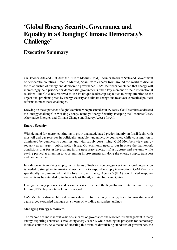## **'Global Energy Security, Governance and Equality in a Changing Climate: Democracy's Challenge'**

### **Executive Summary**

On October 20th and 21st 2006 the Club of Madrid (CoM) – former Heads of State and Government of democratic countries – met in Madrid, Spain, with experts from around the world to discuss the relationship of energy and democratic governance. CoM Members concluded that energy will increasingly be a priority for democratic governments and a key element of their international relations. The CoM has resolved to use its unique leadership capacities to bring attention to the urgent dual problems posed by energy security and climate change and to advocate practical political reforms to meet these challenges.

Drawing on the experience of eight Members who presented country cases, CoM Members addressed the 'energy challenge' in Working Groups, namely: Energy Security, Escaping the Resource Curse, Alternative Energies and Climate Change and Energy Access for All.

#### **Energy Security**

With demand for energy continuing to grow unabated, based predominantly on fossil fuels, with most oil and gas reserves in politically unstable, undemocratic countries, while consumption is dominated by democratic countries and with supply costs rising, CoM Members view energy security as an urgent public policy issue. Governments need to put in place the framework conditions that foster investment in the necessary energy infrastructure and systems while paying particular attention to accelerating improvements all along the energy supply, transport and demand chain.

In addition to diversifying supply, both in terms of fuels and sources, greater international cooperation is needed to strengthen international mechanisms to respond to supply interruptions. CoM Members specifically recommended that the International Energy Agency's (IEA) coordinated response mechanisms be extended to include at least Brazil, Russia, India and China.

Dialogue among producers and consumers is critical and the Riyadh-based International Energy Forum (IEF) plays a vital role in this regard.

CoM Members also emphasised the importance of transparency in energy trade and investment and again urged expanded dialogue as a means of avoiding misunderstandings.

#### **Managing Energy Resources**

The marked decline in recent years of standards of governance and resource mismanagement in many energy-exporting countries is weakening energy security while eroding the prospects for democracy in these countries. As a means of arresting this trend of diminishing standards of governance, the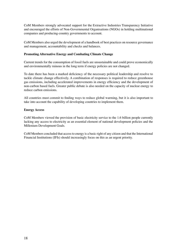CoM Members strongly advocated support for the Extractive Industries Transparency Initiative and encouraged the efforts of Non-Governmental Organisations (NGOs) in holding multinational companies and producing-country governments to account.

CoM Members also urged the development of a handbook of best practices on resource governance and management, accountability and checks and balances.

#### **Promoting Alternative Energy and Combating Climate Change**

Current trends for the consumption of fossil fuels are unsustainable and could prove economically and environmentally ruinous in the long term if energy policies are not changed.

To date there has been a marked deficiency of the necessary political leadership and resolve to tackle climate change effectively. A combination of responses is required to reduce greenhouse gas emissions, including accelerated improvements in energy efficiency and the development of non-carbon based fuels. Greater public debate is also needed on the capacity of nuclear energy to reduce carbon emissions.

All countries must commit to finding ways to reduce global warming, but it is also important to take into account the capability of developing countries to implement them.

#### **Energy Access**

CoM Members viewed the provision of basic electricity service to the 1.6 billion people currently lacking any access to electricity as an essential element of national development policies and the Millenium Development Goals.

CoM Members concluded that access to energy is a basic right of any citizen and that the International Financial Institutions (IFIs) should increasingly focus on this as an urgent priority.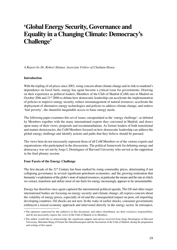## **'Global Energy Security, Governance and Equality in a Changing Climate: Democracy's Challenge'**

*A Report by Dr. Robert Skinner, Associate Fellow of Chatham House*

#### **Introduction**

With the tripling of oil prices since 2003, rising concern about climate change and its link to mankind's dependence on fossil fuels, energy has again become a critical issue for governments. Drawing on their experience as political leaders, Members of the Club of Madrid (CoM) met in Madrid on October 20th and 21st 2006 to debate how democratic leadership can accelerate the implementation of policies to improve energy security, reduce mismanagement of natural resources, accelerate the deployment of alternative energy technologies and policies to address climate change, and redress 'fuel poverty', the shameful inequitable access to basic energy needs.

The following paper examines this set of issues, encapsulated as the 'energy challenge', as debated by Members together with the many international experts they convened in Madrid, and draws upon many of their views, proposals and recommendations. As former leaders of both transitional and mature democracies, the CoM Members focused on how democratic leadership can address the global energy challenge and identify actions and paths that they believe should be pursued.

The views here do not necessarily represent those of all CoM Members or of the various experts and organizations who participated in the discussions. The political framework for debating energy and democracy was set out by Jorge I. Domínguez of Harvard University who served as the rapporteur in the final plenary session.

#### **Four Facets of the Energy Challenge**

The first decade of the 21<sup>st</sup> Century has been marked by rising commodity prices, deteriorating if not collapsing governance in several significant petroleum economies, and the growing realization that humanity's exploitation of the globe's store of natural resources, in particular the means and the rate at which we extract, transform and utilize most of our fuels for energy increasingly appears to be unsustainable.

Energy has therefore once again captured the international political agenda. The G8 and other major international bodies are focusing on energy security and climate change; all express concern about the volatility of energy prices, especially of oil and the consequential impact on poor, oil-importing developing countries. Oil shocks are not new. In the wake of earlier shocks, consumer governments embraced a mixed economy approach and intervened directly in the energy sector. In retrospect,

<sup>•</sup> The opinions expressed by the author(s) in this document, and others distributed, are their exclusive responsibility, and do not necessarily express the views of the Club of Madrid or its Members.

<sup>•</sup> The author would like to acknowledge the significant support and advice received from Jorge Domínguez of Harvard University, Marianne Haug of Forum für Zukunftsenergien and the Secretariat of the Club of Madrid, during the preparation and writing of this report.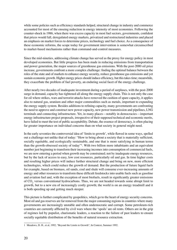while some policies such as efficiency standards helped, structural change in industry and commerce accounted for most of the ensuing reduction in energy intensity of most economies. Following the counter-shock in 1986, when there was excess capacity in most fuel sectors, governments, confident that prices would fall, deregulated energy markets, privatized and restructured industries and placed an emphasis on market forces to determine prices, technology and fuel choice. As a consequence of these economic reforms, the scope today for government intervention is somewhat circumscribed to market-based mechanisms rather than command-and-control measures.

Since the mid-nineties, addressing climate change has served as the proxy for energy policy in most developed economies. But little progress has been made in reducing emissions from transportation and power generation, the major sources of greenhouse gas emissions. With the post-2000 oil price increase, governments confront a more complex challenge: finding the optimal balance between the roles of the state and of markets to enhance energy security, reduce greenhouse gas emissions and yet sustain economic growth. Higher energy prices should induce efficiency, but this takes time; meanwhile, they exacerbate the problem of fuel poverty, an enduring social facet of the energy challenge.

After nearly two decades of inadequate investment during a period of surpluses, with the post-2000 surge in demand, capacity has tightened all along the energy supply chain. This is not only the case for oil where strikes, wars and terrorist attacks have removed the cushion of spare capacity, it applies also to natural gas, uranium and other major commodities such as metals, important to expanding the energy supply system. Besides additions to refining capacity, many governments are confronting the need to approve and construct new power capacity, new power transmission and pipelines, LNG terminals and connecting infrastructure. Yet, in many places—notably in democracies—important energy infrastructure project proposals, irrespective of their supposed technical and economic merits, have failed to meet the test of public acceptability. Debate, the essence of democracy, is often placing far greater importance on individual concerns than on what society in general might need.

In the early seventies the controversial idea of 'limits to growth', while flawed in some ways, spelled out a challenge not unlike that of today: "How to bring about a society that is materially sufficient, socially equitable, and ecologically sustainable, and one that is more satisfying in human terms than the growth-obsessed society of today"1. With two billion more inhabitants and an equivalent number just beginning to transform their increasing incomes into consumption of commercial fuels, we are now entering a period when growth may be constrained; not by inadequate energy resources, but by the lack of access to easy, low cost resources, particularly oil and gas. In time higher costs and resulting higher prices will induce further structural change and bring on new, more efficient technologies, which could reduce the growth of demand. But the production of future liquid fuels for example, based on biomass, oil sands, coal and shale will consume ever-increasing amounts of energy and other resources to transform these difficult feedstocks into usable fuels such as gasoline and aviation fuel and, with the exception of most biofuels, result in significantly greater emissions of CO<sub>2</sub> versus conventional hydrocarbons. Thus, we are not headed towards some abrupt limit to growth, but to a new era of increasingly costly growth; the world is on an energy treadmill and it is both speeding up and getting much steeper.

This picture is further complicated by geopolitics, which go to the heart of energy security concerns. Most oil and gas reserves are far removed from the major consuming regions in countries where many governments are increasingly unstable and often undemocratic and corrupt. Some petroleum-rich countries are currently afflicted by civil wars where the 'spoils' are oil rents. Others are in the grip of regimes led by populist, charismatic leaders, a reaction to the failure of past leaders to ensure socially equitable distribution of the benefits of natural resource extraction.

<sup>1</sup> Meadows, D. H., et al, 1992, "Beyond the Limits to Growth", In Context, Summer 1992.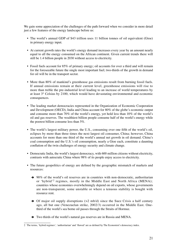We gain some appreciation of the challenges of the path forward when we consider in more detail just a few features of the energy landscape before us:

- The world's annual GDP of \$43 trillion uses 11 billion tonnes of oil equivalent (Gtoe) in primary energy input.
- At current growth rates the world's energy demand increases every year by an amount nearly equal to all the energy consumed on the African continent. Given current trends there will still be 1.4 billion people in 2030 without access to electricity.
- Fossil fuels account for 85% of primary energy; oil accounts for over a third and will remain for the foreseeable future the single most important fuel; two-thirds of the growth in demand for oil will be in the transport sector.
- More than 80% of mankind's greenhouse gas emissions result from burning fossil fuels. If annual emissions remain at their current level, greenhouse emissions will rise to more than treble the pre-industrial level leading to an increase of world temperatures by at least 3° Celsius by 2100, which would have devastating environmental and economic consequences.
- The leading market democracies represented in the Organization of Economic Cooperation and Development (OECD), India and China account for 80% of the globe's economic output and consume more than 70% of the world's energy, yet hold less than 10% of the world's oil and gas reserves. The wealthiest billion people consume half of the world's energy while the poorest billion consume less than 5%.
- The world's largest military power, the U.S., consuming over one fifth of the world's oil, eclipses by more than three times the next largest oil consumer, China; however, China accounts for more than one third of the world's annual net growth in oil demand. China's coal consumption and the U.S.'s oil consumption, nearly a Gtoe each, constitute a daunting conflation of the twin challenges of energy security and climate change.
- Democratic India, the world's largest democracy, with 600 million citizens without electricity, contrasts with autocratic China where 98% of its people enjoy access to electricity.
- The future geopolitics of energy are defined by the geographic mismatch of markets and resources:
	- $\rightarrow$  90% of the world's oil reserves are in countries with non-democratic, authoritarian or 'hybrid'2 regimes, mostly in the Middle East and North Africa (MENA); countries whose economies overwhelmingly depend on oil exports, whose governments are non-transparent, some unstable or where a tenuous stability is bought with resource rent.
	- $\rightarrow$  Of major oil supply disruptions (>2 mb/d) since the Suez Crisis a half century ago, all but one (Venezuelan strike, 2002/3) occurred in the Middle East. Onethird of the world's sea borne oil passes through the Straits of Hormuz.
	- $\rightarrow$  Two thirds of the world's natural gas reserves are in Russia and MENA.

The terms, 'hybrid regimes', 'authoritarian' and 'flawed' are as defined by The Economist's democracy index.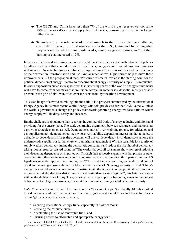- $\rightarrow$  The OECD and China have less than 7% of the world's gas reserves yet consume 55% of the world's current supply. North America, consuming a third, is no longer self-sufficient.
- $\rightarrow$  To underscore the relevance of this mismatch to the climate change challenge, over half of the world's coal reserves are in the U.S., China and India. Together they account for 44% of energy-derived greenhouse gas emissions; in 2005 their burning of coal increased by 7%.

Incomes will grow and with rising incomes energy demand will increase and in the absence of policies to influence choices that can reduce use of fossil fuels, energy-derived greenhouse gas emissions will increase. New technologies continue to improve our access to resources and the efficiency of their extraction, transformation and use. And as noted above, higher prices help to drive these improvements. But the geographical market/resource mismatch, which is the starting point for the political dimension of energy—central to concerns about energy's security of supply—is immutable. It is not a supposition but an inescapable fact that increasing shares of the world's energy requirements will have to come from countries that are undemocratic, in some cases, despotic, mostly unstable or even in the grip of civil war, often over the rents from hydrocarbon development

This is an image of a world stumbling into the dark. It is a prospect summarized by the International Energy Agency in its most recent World Energy Outlook, previewed for the CoM. Namely, unless the world's governments change the policy framework governing energy, we face a future where energy supply will be dirty, costly and insecure.

But the challenge is about more than securing the commercial trade of energy, reducing emissions and providing for the energy poor. The stark geographic asymmetry between resources and markets has a growing strategic element as well. Democratic countries' overwhelming reliance for critical oil and gas supplies on non-democratic regimes, whose very stability depends on increasing that reliance, is a fragile co-dependency. It begs the questions; will this co-dependency instil democracy among the undemocratic suppliers or further entrench authoritarian tendencies? Will the scramble for security of supply weaken democracy among the democratic consumers and reduce the likelihood of democracy taking root in resource-starved countries? The world's largest oil consumers show no sign of reducing their deepening dependence on imported oil. Through their respective agents, whether private or stateowned entities, they are increasingly competing over access to resources in third party countries. US legislators recently reported their finding that "China's strategy of securing ownership and control of oil and natural gas assets abroad could substantially affect U.S. energy security…" and "China's energy policies, taken as a whole, are not consistent with the economic or geopolitical behaviour of a responsible stakeholder; they distort markets and destabilize volatile regions"3, this latter accusation without the slightest hint of irony. Thus, securing their energy supply is becoming a mercantilist contest between the two largest consumers, a contest that risks undermining global peace and security.

CoM Members discussed this set of issues in four Working Groups. Specifically, Members asked how democratic leadership can accelerate national, regional and global action to address four facets of this 'global energy challenge'; namely,

- Securing international energy trade, especially in hydrocarbons;
- Reducing the resource curse;
- Accelerating the use of renewable fuels, and
- Ensuring access to affordable and appropriate energy for all.

<sup>3</sup> From Section 3 of the 2006 Report of the US – China Economic and Security Review Commission, p 95 at http://www.uscc. gov/annual\_report/2006/annual\_report\_full\_06.pdf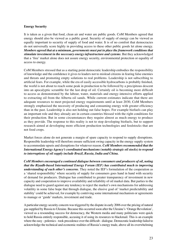#### **Energy Security**

It is taken as a given that food, clean air and water are public goods. CoM Members agreed that energy should also be viewed as a public good. Security of supply of energy can be viewed as equally important to security of supply of food and water. It is of no comfort that democracies do not universally score highly in providing access to these other public goods let alone energy. *Members agreed that at a minimum, governments must put in place the framework conditions that stimulate investment in the necessary energy infrastructure and systems.* But they acknowledged that a 'free' market alone does not assure energy security, environmental protection or equality of access to energy.

CoM Members stressed that as a starting point democratic leadership embodies the responsibility of knowledge and the confidence it gives to leaders not to mislead citizens in fearing false enemies and threats and promoting empty solutions to real problems. Leadership is not subscribing to artificial fears. For example, while the era of easily accessible hydrocarbons is probably finished, the world is not about to reach some peak in production to be followed by a precipitous descent into an apocalyptic scramble for the last drop of oil. Certainly oil is becoming more difficult to access as demonstrated by the labour, water, materials and energy-intensive efforts applied to extracting oil from the Alberta oil sands. While current estimates indicate that there are adequate resources to meet projected energy requirements until at least 2030, CoM Members strongly emphasised the necessity of producing and consuming energy with greater efficiency than in the past. Leadership is also not holding out false hopes. For example biofuels can play an important role and they already are in certain countries blessed with the right conditions for their production. But in some circumstances they require almost as much energy to produce as they provide. The response to this reality is not to stop developing biofuels, but to support research aimed at developing more efficient production technologies and feedstocks that are not food crops.

Market forces alone do not generate a margin of spare capacity to respond to supply disruptions. Responsible leadership will therefore ensure sufficient swing capacity in the energy supply system to accommodate upsets and disruptions for whatever reason. *CoM Members recommended that the International Energy Agency's coordinated mechanisms (notably strategic oil stocks) to respond to interruptions of oil supply include Brazil, Russia, India and China.*

*CoM Members encouraged a continued dialogue between consumers and producers of oil, noting that the Riyadh-based International Energy Forum (IEF) has contributed much to improving understanding of each other's concerns*. They noted the IEF's formulation of the cooperation as a 'shared responsibility' where security of supply for consumers goes hand in hand with security of demand for producers. Dialogue has contributed to greater transparency of investment in new capacity and cooperation to improve availability and reliability of oil market data. But parties to the dialogue need to guard against any tendency to reject the market's own mechanisms for addressing volatility in some false hope that through dialogue, the elusive goal of 'market predictability and stability' could be achieved, for example by contriving some international mechanism or agreements to manage or 'guide' markets, investment and trade.

A particular energy security concern was triggered by the dispute in early 2006 over the pricing of natural gas supplied by Russia to Ukraine. Because this occurred soon after the Ukraine's 'Orange Revolution', viewed as a resounding success for democracy, the Western media and many politicians were quick to hold Russia entirely responsible, accusing it of using its resources to blackmail. This is an example where the easy - polemics - took precedence over the difficult - dialogue. Democratic leadership failed to acknowledge the technical and economic realities of Russia's energy trade, above all its overwhelming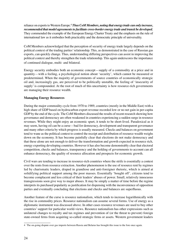reliance on exports to Western Europe.4 *Thus CoM Members, noting that energy trade can only increase, recommended that model agreements to facilitate cross-border energy trade and transit be developed.* They commended the example of the European Energy Charter Treaty and the emphasis on the rule of international law as it embodies both practicality and the democratic principle of universality.

CoM Members acknowledged that the perception of security of energy trade largely depends on the political context of the trading parties' relationship. This, as demonstrated in the case of Russian gas exports, can quickly change. Thus, understanding differing perspectives can assist in improving the political context and thereby strengthen the trade relationship. This again underscores the importance of continued dialogue, multi- and bilateral.

Energy security embodies both an economic concept—supply of a commodity at a price and in quantity—with a feeling, a psychological notion about 'security', which cannot be measured or predetermined. When the majority of governments of source countries of economically strategic oil and, increasingly gas, are perceived to be politically unstable, the feeling of 'insecurity of supply' is compounded. At the root of much of this uncertainty is how resource-rich governments are managing their resource wealth.

#### **Managing Energy Resources**

During the major commodity cycle from 1970 to 1989, countries (mostly in the Middle East) with a high share of GDP based on hydrocarbon export revenue recorded low or no net gain in per-capita GDP by the end of the cycle. The CoM Members discussed the results of recent research showing how governance and democracy are often weakened in countries experiencing a sudden surge in resource revenues. While they might enjoy an economic spurt, it tends to be short-lived. Paradoxical as it may seem, having oil can be a curse—bad for democracy, development and transparent governance and many other criteria by which progress is usually measured. Checks and balances on government tend to wane as the political contest to control the receipt and distribution of resource wealth weighs down on the economy. It has become painfully clear that elections do not make democracy and that these alone are not enough to deliver the transformation and growth expected in resource rich, energy exporting developing countries. However it has also become demonstrably clear that electoral competition, checks and balances, transparency and the holding of governments to account can all enhance democracy, the quality of resource allocation and prospects for economic growth.

Civil wars are tending to increase in resource-rich countries where the strife is essentially a contest over the rents from resource extraction. Another phenomenon is the use of resource rent by regimes led by charismatic leaders, draped in grandiose and anti-foreigner rhetoric, which is aimed at solidifying political support among the poor masses. Essentially 'bought off', citizens tend to become complacent and less critical of their leaders' abuses of power. Small, relatively innocuous transgressions soon give way to major abuses. It may be simply a matter of time before the regime interprets its purchased popularity as justification for dispensing with the inconvenience of opposition parties and eventually concluding that elections and checks and balances are superfluous.

Another feature of the curse is resource nationalism, which tends to increase logarithmically with the rise in commodity prices. Resource nationalism can assume several forms. Use of energy as a diplomatic instrument was discussed above. In other cases resource revenues are used to buy other countries' support for particular world-views. Resource nationalism has other expressions such as unilateral changes to royalty and tax regimes and prevention of (or the threat to prevent) foreign state-owned firms from acquiring so-called strategic firms or assets. Western government leaders

<sup>4</sup> The on-going dispute over gas imports between Russia and Belarus has brought this issue to the fore once again.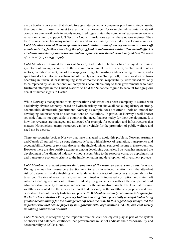are particularly concerned that should foreign state-owned oil companies purchase strategic assets, they could in turn use this asset to exert political leverage. For example, while certain state oil companies pursue oil deals in widely recognized rogue States, the companies' government owners remain reluctant to support UN Security Council resolutions against these odious regimes. Thus the 'resource curse' has many manifestations and not necessarily restricted to developing countries. *CoM Members voiced their deep concern that politicisation of energy investment scares off private industry, further restricting the playing field to state-owned entities. The overall effect is escalating uncertainty, increased risk and therefore less investment, which only adds to the sense of insecurity of energy supply.*

CoM Members examined the cases of Norway and Sudan. The latter has displayed the classic symptoms of having succumbed to the resource curse: initial flush of wealth, displacement of other sectors, predation on rent, rise of a corrupt governing elite wasting and concealing revenues, and a spiralling decline into factionalism and ultimately civil war. To top it off, private western oil firms operating in Sudan, at least attempting some corporate social responsibility, were chased off, only to be replaced by Asian national oil companies accountable only to their governments who have frustrated attempts in the United Nations to hold the Sudanese regime to account for egregious denial of human rights in Darfur.

While Norway's management of its hydrocarbon endowment has been exemplary, it started with a relatively diverse economy, based on hydroelectricity but above all had a long history of strong, accountable, democratic government. Norway's example does not offer a 'bolt-on' model for developing countries with no such traditions or institutions. In particular Norway's well-known set aside fund is not applicable to countries that need finances today for their development. It is how the revenues are managed and allocated (for example for education and infrastructure) that matters. Nonetheless, energy resources can be a vehicle for the promotion of public welfare and need not be a curse.

There are countries besides Norway that have managed to avoid this problem. Norway, Australia and Canada all started with a strong democratic base, with a history of regulation, transparency and accountability. Resource rent was also never the single dominant source of income in these countries. However there are also positive examples among developing countries. Botswana has managed the development of its diamond industry without succumbing to the resource curse, by applying strict and transparent economic criteria to the implementation and development of investment projects.

*CoM Members expressed concern that symptoms of the resource curse were on the increase.* Rising revenues from resource extraction tend to result in reduced taxation, with the attendant risk of paternalism and enfeebling of the fundamental contract of democracy, accountability for taxation. The rise of resource nationalism combined with increased corruption and state theft risked cascading into nationalization of industry by governments without the competent civil administrative capacity to manage and account for the nationalized assets. The less that resource wealth is accounted for, the greater the threat to democracy as the wealth conveys power and once centralized leads ultimately to dictatorial power. *CoM Members strongly recommended support for the Extractive Industries Transparency Initiative viewing it as a potentially powerful tool to bring greater accountability for the management of resource rent. In this regard they recognized the important role that can be played by non-governmental organizations (NGOs) and civil society in holding countries to account.*

CoM Members, in recognizing the important role that civil society can play as part of the system of checks and balances, cautioned that governments must not abdicate their responsibility and accountability to NGOs alone.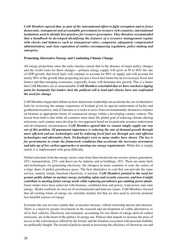*CoM Members agreed that, as part of the international effort to fight corruption and to foster democratic, transparent and accountable government in resource rich countries, international institutions need to identify best practices for resource governance. They therefore recommended that a handbook be developed identifying the features of a resource management regime with checks and balances such as transparent rules; competent, adequately compensated administration; and clear separation of entities encompassing regulation, policy making and enterprise.*

#### **Promoting Alternative Energy and Combating Climate Change**

All energy projections since the early nineties concur that in the absence of major policy changes and the world waits for these changes—primary energy supply will grow at 50 or 60% the rate of GDP growth, that fossil fuels will continue to account for 80% of supply and will account for nearly 90% of the growth (thus projecting not just a fossil fuel future but an *increasingly* fossil fuel future) and that emerging economies, especially Asian, will dominate this growth. This is a future that CoM Members see as unsustainable. *CoM Members concluded that we have reached a tipping point for humanity but leaders lack the political will to lead and citizens have not confronted the need for change.*

CoM Members began their debate on how democratic leadership can accelerate the use of alternative fuels by reviewing the unique experience of Iceland given its special endowment of hydro and geothermal resources, and of Tanzania as it seeks to move from environmentally destructive reliance on biomass to appropriate forms of commercial energy within a developing country context. The lesson from both is that while all countries must share the global goal of reducing climate altering emissions, each country must develop its own approach based on its particular resource endowment and development circumstances*. CoM Members agreed that we cannot simply supply our way out of this problem. Of paramount importance is reducing the rate of demand growth through more efficient end-use technologies and by reducing fossil fuel use through new and efficient technologies and alternative fuels. Technologies exist as many studies have shown. The key is for governments to create the framework conditions that accelerate the necessary investment and take-up of low carbon approaches to meeting our energy requirements.* While this is simply stated, it is implemented with great difficulty.

Global emissions from the energy sector come from three broad end-use sectors: power generation, 42%; transportation, 22%; and direct use by industry and in buildings, 36%. There are many fuels and technologies for generating electricity; the cheapest in many countries is coal, the source of a large share of global greenhouse gases. The best alternative to coal that can provide the same service; namely steady, baseload electricity, is nuclear*. CoM Members pointed to the need for greater public debate on nuclear energy, including safety and security concerns, and how it might contribute to meeting future energy needs while replacing greenhouse gas-emitting power plants.* Great strides have been achieved with biomass, combined heat and power, wind power and solar energy. Hydro confronts its own set of environmental and land-use issues. CoM Members stressed that all existing forms of energy are currently needed, but that we also need to actively promote less harmful sources of energy.

It remains the case in every country that, as incomes increase, vehicle ownership and use also increase. There is a need for greater investment in the research and development of viable alternatives to oil to fuel vehicles. Electricity and transport, accounting for two thirds of energy-derived carbon emissions, are at the heart of the politics of energy use. Policies that impede or increase the price of access to the conveniences offered by the former and the freedom associated with personal mobility are politically fraught. The record of policies aimed at increasing the efficiency of electricity use and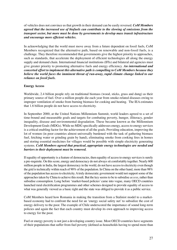of vehicles does not convince us that growth in their demand can be easily reversed. *CoM Members agreed that the increased use of biofuels can contribute to the slowing of emissions from the transport sector, but more must be done by governments to develop mass transit infrastructure and encourage more efficient vehicles.*

In acknowledging that the world must move away from a future dependent on fossil fuels, CoM Members recognized that the alternative path, based on renewable and non-fossil fuels, is a challenge. They therefore recommended that governments give the highest priority to approaches, such as standards, that accelerate the deployment of efficient technologies all along the energy supply and demand chain. International financial institutions (IFIs) and bilateral aid agencies must give greater priority to promoting alternative fuels and energy efficiency. *An international and concerted effort to implement this alternative path is compelling to CoM Members because they believe the world faces the imminent threat of run-away, rapid climate change linked to our reliance on fossil fuels.*

#### **Energy Access**

Worldwide, 2.4 billion people rely on traditional biomass (wood, sticks, grass and dung) as their primary source of fuel. Over a million people die each year from smoke-related diseases owing to improper ventilation of smoke from burning biomass for cooking and heating. The IEA estimates that 1.6 billion people do not have access to electricity.

In September 2000, at the United Nations Millennium Summit, world leaders agreed to a set of time-bound and measurable goals and targets for combating poverty, hunger, illiteracy, gender inequality, disease and environmental degradation. These became known as the Millennium Development Goals (MDGs). While no MDG specifically addresses energy, access to energy services is a critical enabling factor for the achievement of all the goals. Providing education, improving the lot of women (in poor countries almost universally burdened with the task of gathering biomass fuel, fetching water or grinding grain by hand), eliminating smoke from cooking fires in homes and storing essential medicines for villages would be possible with simple electricity generating systems. *CoM Members agreed that practical, appropriate energy technologies are needed and barriers to their deployment must be removed.*

If equality of opportunity is a feature of democracies, then equality of access to energy services is surely a pre-requisite. On this score, energy and democracy do not always sit comfortably together. Nearly 600 million people in India, the largest democracy in the world, do not have access to electricity even though the grid is technically within reach of 90% of the population. In China on the other hand, more than 98% of the population has access to electricity. A truly democratic government would not support some of the approaches taken by China to achieve this result. But the key seems to be to subsidise *access*, rather than subsidise consumption. Long before 'market-based policies' came into vogue, many OECD countries launched rural electrification programmes and other schemes designed to provide equality of access to what was generally viewed as a basic right and the state was obliged to provide it as a public service.

CoM Members heard how Romania in making the transition from a Stalinist model to a marketbased economy had to confront the need for an 'energy social safety net' to subsidize the cost of energy delivery to the poor. The example of Chile underscored the importance of sound long-term policies and again the fact that each country must develop its own approach to improving access to energy for the poor.

Fuel or energy poverty is not just a developing country issue. Most OECD countries have segments of their populations that suffer from fuel poverty (defined as households having to spend more than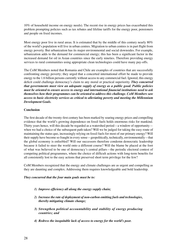10% of household income on energy needs). The recent rise in energy prices has exacerbated this problem prompting policies such as tax rebates and lifeline tariffs for the energy poor, pensioners and people on fixed incomes.

Most energy poor live in rural areas. It is estimated that by the middle of this century nearly 80% of the world's population will live in urban centres. Migration to urban centres is in part flight from energy poverty. But urbanization has its major environmental and social downsides. For example, urbanization adds to the demand for commercial energy; this has been a significant factor in the increased demand for oil in Asian countries since the early nineties. Therefore providing energy services to rural communities using appropriate clean technologies could have many pay-offs.

The CoM Members noted that Romania and Chile are examples of countries that are successfully confronting energy poverty; they urged that a concerted international effort be made to provide energy to the 1.6 billion persons currently without access to any commercial fuel. Ignored, this energy deficit could challenge democracy's claim to any moral or practical superiority. *They concurred that governments must view an adequate supply of energy as a public good. Public policies must be oriented to ensure access to energy and international financial institutions need to ask themselves how their programmes can be oriented to address this challenge. CoM Members saw access to basic electricity services as critical to alleviating poverty and meeting the Millennium Development Goals.*

#### **Conclusion**

The first decade of the twenty-first century has been marked by soaring energy prices and compelling evidence that the world's growing dependence on fossil fuels holds enormous risks for mankind. Thirty years hence, will this decade be regarded as a watershed period—a window of opportunity when we had a choice of the subsequent path taken? Will we be judged for taking the easy route of maintaining the status quo, increasingly relying on fossil fuels for most of our primary energy? Will their supply have become so fraught in every sense—geopolitically, technically, environmentally—that the global economy is enfeebled? Will our successors therefore condemn democratic leadership because it failed to steer the world onto a different course? Will the blame be placed at the foot of what was believed to be one of democracy's central pillars—the periodic electoral contest of competing political programmes, where the choice of difficult actions with long-term benefits for all consistently lost to the easy actions that preserved short term privilege for the few?

CoM Members recognized that the energy and climate challenges are as urgent and compelling as they are daunting and complex. Addressing them requires knowledgeable and bold leadership.

#### *They concurred that the four main goals must be to:*

- *1) Improve efficiency all along the energy supply chain;*
- *2) Increase the rate of deployment of non-carbon emitting fuels and technologies, thereby mitigating climate change;*
- *3) Strengthen political accountability and stability of energy producing countries; and*
- *4) Redress the inequitable lack of access to energy for the world's poor.*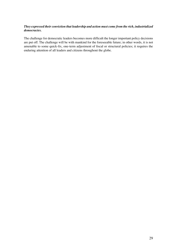#### *They expressed their conviction that leadership and action must come from the rich, industrialized democracies.*

The challenge for democratic leaders becomes more difficult the longer important policy decisions are put off. The challenge will be with mankind for the foreseeable future; in other words, it is not amenable to some quick-fix, one-term adjustment of fiscal or structural policies; it requires the enduring attention of all leaders and citizens throughout the globe.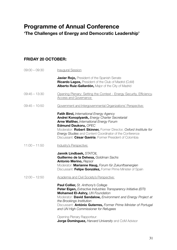# **Programme of Annual Conference**

**'The Challenges of Energy and Democratic Leadership'**

## **Friday 20 October:**

| $09:00 - 09:30$ | Inaugural Session                                                                                                                                                                                                                                                                                                                                           |
|-----------------|-------------------------------------------------------------------------------------------------------------------------------------------------------------------------------------------------------------------------------------------------------------------------------------------------------------------------------------------------------------|
|                 | Javier Rojo, President of the Spanish Senate<br>Ricardo Lagos, President of the Club of Madrid (CoM)<br>Alberto Ruiz-Gallardón, Major of the City of Madrid                                                                                                                                                                                                 |
| $09:45 - 13:30$ | Opening Plenary: Setting the Context - Energy Security, Efficiency,<br><b>Access and Governance</b>                                                                                                                                                                                                                                                         |
| $09:45 - 10:50$ | Government and Intergovernmental Organizations' Perspective:                                                                                                                                                                                                                                                                                                |
|                 | Fatih Birol, International Energy Agency<br>Andrei Konoplyanik, Energy Charter Secretariat<br>Arne Walther, International Energy Forum<br>Edmund Daukoru, OPEC<br>Moderator: Robert Skinner, Former Director, Oxford Institute for<br>Energy Studies and Content Coordinator of the Conference<br>Discussant: César Gaviria, Former President of Colombia   |
| $11:00 - 11:50$ | Industry's Perspective:                                                                                                                                                                                                                                                                                                                                     |
|                 | Jannik Lindbaek, STATOIL<br>Guillermo de la Dehesa, Goldman Sachs<br><b>Antonio Merino, Repsol</b><br>Moderator: Marianne Haug, Forum für Zukunftsenergien<br>Discussant: Felipe González, Former Prime Minister of Spain                                                                                                                                   |
| $12:00 - 12:50$ | Academia and Civil Society's Perspective:                                                                                                                                                                                                                                                                                                                   |
|                 | <b>Paul Collier, St. Anthony's College</b><br>Peter Eigen, Extractive Industries Transparency Initiative (EITI)<br>Mohamed El-Ashry, UN Foundation<br>Moderator: David Sandalow, Environment and Energy Project at<br>the Brookings Institution<br>Discussant: António Guterres, Former Prime Minister of Portugal<br>and UN High Commissioner for Refugees |
|                 | Opening Plenary Rapporteur:<br>Jorge Domínguez, Harvard University and CoM Advisor                                                                                                                                                                                                                                                                          |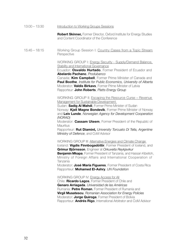#### 13:00 – 13:30 Introduction to Working Groups Sessions

 **Robert Skinner,** Former Director, Oxford Institute for Energy Studies and Content Coordinator of the Conference

15:45 – 18:15 Working Group Session I: Country Cases from a Topic Stream **Perspective** 

> WORKING GROUP I: Energy Security - Supply/Demand Balance, Stability and International Governance

> Ecuador: **Osvaldo Hurtado**, Former President of Ecuador and **Abelardo Pachano**, *Produbanco*

Canada: **Kim Campbell**, Former Prime Minister of Canada and **Paul Boothe**, *Institute for Public Economics, University of Alberta* Moderator: **Valdis Birkavs**, Former Prime Minister of Latvia Rapporteur: **John Roberts**, *Platts Energy Group* 

WORKING GROUP II: Escaping the Resource Curse – Revenue Management for Sustainable Development

Sudan: **Sadig Al Mahdi**, Former Prime Minister of Sudan Norway: **Kjell Magne Bondevik**, Former Prime Minister of Norway and **Leiv Lunde**, *Norwegian Agency for Development Cooperation (NORAD)* 

Moderator: **Cassam Uteem**, Former President of the Republic of **Mauritius** 

Rapporteur: **Rut Diamint,** *University Torcuato Di Tella, Argentine Ministry of Defence*, and CoM Advisor

WORKING GROUP III: Alternative Energies and Climate Change Iceland: **Vigdis Finnbogadóttir**, Former President of Iceland, and

**Grímur Björnsson**, Engineer at *Orkuveita Reykjavikur*

**Benjamin Mkapa**, Former President of Tanzania, and Hassan Kibelloh, Ministry of Foreign Affairs and International Cooperation of Tanzania

Moderator: **José María Figueres**, Former President of Costa Rica Rapporteur: **Mohamed El-Ashry**, *UN Foundation* 

WORKING GROUP IV: Energy Access for All

Chile: **Ricardo Lagos**, Former President of Chile and  **Genaro Arriagada**, *Universidad de las Américas* Rumania: **Petre Roman**, Former President of Rumania and **Virgil Musatescu**, *Romanian Association for Energy Policies* Moderator: **Jorge Quiroga**, Former President of Bolivia Rapporteur: **Andrés Rigo**, International Arbitrator and CoM Advisor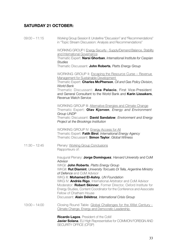### **Saturday 21 October:**

09:00 – 11:15 Working Group Session II: Underline "Discussion" and "Recommendations" in "Topic Stream Discussion: Analysis and Recommendations" WORKING GROUP I: Energy Security - Supply/Demand Balance, Stability and International Governance Thematic Expert: **Narsi Ghorban**, *International Institute for Caspian Studies* Thematic Discussant: **John Roberts***, Platts Energy Group*  WORKING GROUP II: Escaping the Resource Curse – Revenue Management for Sustainable Development Thematic Expert: **Charles McPherson**, *Oil and Gas Policy Division, World Bank*  Thematic Discussant: **Ana Palacio**, First Vice-President and General Consultant to the World Bank and **Karin Lissakers**, Revenue Watch Service WORKING GROUP III: Alternative Energies and Climate Change Thematic Expert: **Olav Kjorven**, *Energy and Environment Group UNDP* Thematic Discussant: **David Sandalow**, *Environment and Energy Project at the Brookings Institution* WORKING GROUP IV: Energy Access for All Thematic Expert: **Fatih Birol**, *International Energy Agency* Thematic Discussant: **Simon Taylor**, *Global Witness* 11:30 – 12:45 Plenary: Working Group Conclusions Rapporteurs of: Inaugural Plenary: **Jorge Domínguez**, *Harvard University* and CoM Advisor WKGI: **John Roberts**, *Platts Energy Group* WKGII: **Rut Diamint**, *University Torcuato Di Tella, Argentine Ministry of Defence* and CoM Advisor WKG III: **Mohamed El-Ashry**, *UN Foundation*  WKG IV: **Andrés Rigo**, International Arbitrator and CoM Advisor Moderator: **Robert Skinner**, Former Director, Oxford Institute for Energy Studies, Content Coordinator for the Conference and Associate Fellow of Chatham House Discussant: **Alain Délétroz**, *International Crisis Group* 13:00 – 14:00 Closing Round Table: Global Challenges for the XXIst Century - Climate Change, Energy and Democratic Leadership

 **Ricardo Lagos**, President of the CoM **Javier Solana**, EU High Representative for COMMON FOREIGN AND SECURITY OFFICE (CFSP)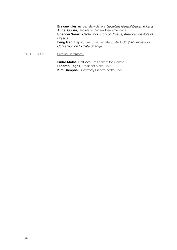**Enrique Iglesias**, Secretary General, *Secretaría General Iberoamericana*  **Angel Gurría**, Secretaría General Iberoamericana  **Spencer Weart**, *Center for History of Physics, American Institute of Physics*  **Feng Gao**, Deputy Executive Secretary, *UNFCCC (UN Framework Convention on Climate Change)*

14:00 – 14:30 Closing Ceremony

**Isidre Molas**, First Vice-President of the Senate **Ricardo Lagos**, President of the CoM **Kim Campbell**, Secretary General of the CoM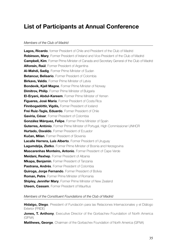## **List of Participants at Annual Conference**

#### *Members of the Club of Madrid*

**Lagos, Ricardo**, former President of Chile and President of the Club of Madrid **Robinson, Mary**, Former President of Ireland and Vice-President of the Club of Madrid **Campbell, Kim**, Former Prime Minister of Canada and Secretary General of the Club of Madrid **Alfonsín, Raúl**, Former President of Argentina **Al-Mahdi, Sadig**, Former Prime Minister of Sudan **Betancur, Belisario**, Former President of Colombia **Birkavs, Valdis**, Former Prime Minister of Latvia **Bondevik, Kjell Magne**, Former Prime Minister of Norway **Dimitrov. Philip**, Former Prime Minister of Bulgaria **El-Eryani, Abdul-Kareem**, Former Prime Minister of Yemen **Figueres, José María**, Former President of Costa Rica **Finnbogadóttir. Vigdís.** Former President of Iceland **Frei Ruiz-Tagle, Eduardo**, Former President of Chile **Gaviria, César**, Former President of Colombia **González Márquez, Felipe**, Former Prime Minister of Spain **Guterres, António**, Former Prime Minister of Portugal, High Commissioner UNHCR **Hurtado, Osvaldo**, Former President of Ecuador Kučan, Milan, Former President of Slovenia **Lacalle Herrera, Luís Alberto**, Former President of Uruguay **Lagumdzija, Zlatko**, Former Prime Minister of Bosnia and Herzegovina **Mascarenhas Monteiro, Antonio**, Former President of Cape Verde **Meidani, Rexhep**, Former President of Albania **Mkapa, Benjamin**, Former President of Tanzania **Pastrana, Andrés**, Former President of Colombia **Quiroga, Jorge Fernando**, Former President of Bolivia **Roman, Petre**, Former Prime Minister of Romania **Shipley, Jennifer Mary**, Former Prime Minister of New Zealand **Uteem, Cassam**, Former President of Mauritius

#### *Members of the Constituent Foundations of the Club of Madrid*

**Hidalgo, Diego**, President of Fundación para las Relaciones Internacionales y el Diálogo Exterior (FRIDE)

**Jones, T. Anthony**, Executive Director of the Gorbachev Foundation of North America (GFNA)

**Matthews, George**, Chairman of the Gorbachev Foundation of North America (GFNA)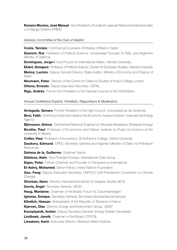**Romero Moreno, José Manuel**, Vice-President of Fundación para las Relaciones Internacionales y el Diálogo Exterior (FRIDE)

#### *Advisory Committee of the Club of Madrid*

**Costa, Tarcísio**, Commercial Counselor, Embassy of Brazil in Spain

**Diamint, Rut**, Professor of Political Science, Universidad Torcuato Di Tella, and Argentine Ministry of Defence

**Domínguez, Jorge I.**, Vice-Provost for International Affairs, Harvard University.

**Ekiert, Grzegorz**, Professor of Political Science, Center for European Studies, Harvard University **Muñoz, Lucinio**, Deputy General Director, State Auditor, Ministry of Economy and Finance of **Spain** 

**Neumann, Peter**, Director of the Centre for Defence Studies of King's College London **Ottone, Ernesto**, Deputy Executive Secretary, CEPAL

**Rigo, Andrés**, Former Vice President to the General Counsel of the World Bank

#### *Annual Conference Experts, Panellists, Rapporteurs & Moderators*

**Arriagada, Genaro**, Former President of the High Council, Universidad de las Américas **Birol, Fatih**, Chief Economist and Head of the Economic Analysis Division, International Energy Agency

**Björnsson, Grímur**, Geothermal Reservoir Engineer at Orkuveita Reykjavikur (Reykjavik Energy) **Boothe, Paul**, Professor of Economics and Fellow, Institute for Public Economics at the University of Alberta.

**Collier, Paul**, Professor of Economics, St Anthony's College, Oxford University

**Daukoru, Edmund**, OPEC Secretary General and Nigerian Minister of State for Petroleum **Resources** 

**Dehesa de la, Guillermo**, Goldman Sachs

**Déletroz, Alain**, Vice-President Europe, International Crisis Group

**Eigen, Peter**, Former Chairman and Founder of Transparency International

**El-Ashry, Mohamed**, Senior Fellow, United Nations Foundation

**Gao, Feng**, Deputy Executive Secretary, UNFCCC (UN Framework Convention on Climate Change)

**Ghorban, Narsi**, Director, International Institute for Caspian Studies (IICS)

**Gurría, Angel**, Secretary General, OECD

**Haug, Marianne**, Chairman of the Board, Forum für Zukunftsenergien

**Iglesias, Enrique**, Secretary General, Secretaría General Iberoamericana

**Kibelloh, Hassan**, Ambassador of the Republic of Tanzania in France

**Kjørven, Olav**, Director, Energy and Environment Group, UNDP

**Konoplyanik, Andrei**, Deputy Secretary General, Energy Charter Secretariat

**Lindbaek, Jannik**, Chairman of the Board, STATOIL

**Lissakers, Karin**, Executive Director, Revenue Watch Institute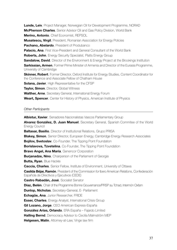**Lunde, Leiv**, Project Manager, Norwegian Oil for Development Programme, NORAD **McPherson Charles**, Senior Advisor Oil and Gas Policy Division, World Bank **Merino, Antonio**, Chief Economist, REPSOL **Musatescu, Virgil**, President, Romanian Association for Energy Policies **Pachano, Abelardo**, President of Produbanco **Palacio, Ana**, First Vice-President and General Consultant of the World Bank **Roberts, John**, Energy Security Specialist, Platts Energy Group **Sandalow, David**, Director of the Environment & Energy Project at the Brookings Institution **Sarkissian, Armen**, Former Prime Minister of Armenia and Director of the Eurasia Programme, University of Cambridge **Skinner, Robert**, Former Director, Oxford Institute for Energy Studies, Content Coordinator for the Conference and Associate Fellow of Chatham House **Solana, Javier**, High Representative for the CFSP **Taylor, Simon**, Director, Global Witness **Walther, Arne**, Secretary General, International Energy Forum **Weart, Spencer**, Center for History of Physics, American Institute of Physics

#### *Other Participants*

**Albistur, Xavier**, Senadores Nacionalistas Vascos Parliamentary Group **Alvarez González, D. Juan Manuel**, Secretary General, Spanish Commitee of the World Energy Council **Baltasar, Basilio**, Director of Institutional Relations, Grupo PRISA **Blakey, Simon**, Senior Director, European Energy, Cambridge Energy Research Associates **Bojilov, Svetoslav**, Co-Founder, The Tipping Point Foundation **Borislavova, Tzvetelina**, Co-Founder, The Tipping Point Foundation **Bravo Angel, Ana María**, Genencor Corporation **Burjanadze, Nino**, Chairperson of the Parliament of Georgia **Butta, Ryan**, Blue Hackle **Caccia, Charles**, Senior Fellow, Institute of Environment, University of Ottawa **Casilda Béjar, Ramón**, President of the Commission for Ibero American Relations, Confederación Española de Directivos y Ejecutivos (CEDE) **Castro Rabadán, José**, Socialist Senator **Díaz, Belén**, Chair of the Programme Bonne Gouvernance/PRSP au Tchad, Intermón Oxfam **Dunlop, Nicholas**, Secretary-General, E- Parliament **Echagüe, Ana**, Junior Researcher, FRIDE **Esser, Charles**, Energy Analyst, International Crisis Group **Gil Lozano, Jorge**, CEO American Express-España **González Arias, Orlando**, ERA España – Fajardo Limited **Halling Bernd**, Democracy Advisor to Cecilia Malmström MEP **Helgesen, Malin**, Attorney-at-Law, Vinge law firm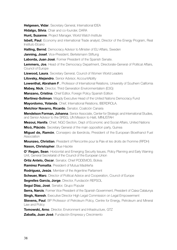**Helgesen, Vidar**, Secretary General, International IDEA

**Hidalgo, Silvia**, Chair and co-founder, DARA

**Hunt, Suzanne**, Project Manager, World Watch Institute

**Isbell, Paul**, Economy and international Trade analyst, Director of the Energy Program, Real Instituto Elcano

**Halling, Bernd**, Democracy Advisor to Minister of EU Affairs, Sweden

**Janning, Josef**, Vice-President, Bertelsmann Stiftung

**Laborda, Juan José**, Former President of the Spanish Senate.

**Lemmers, Jos**, Head of the Democracy Department, Directorate-General of Political Affairs, Council of Europe

**Liswood, Laura**, Secretary General, Council of Women World Leaders

**Litovsky, Alejandro**, Senior Advisor, AccountAbility

**Lowenthal, Abraham F**., Professor of International Relations, University of Southern California

**Mabey, Nick**, Director, Third Generation Environmentalism (E3G)

**Manzano, Cristina**, Chief Editor, Foreign Policy Spanish Edition

**Martínez-Soliman**, Magdy Executive Head of the United Nations Democracy Fund

**Mayordomo, Yolanda**, Chief, International Relations, IBERDROLA.

**Melchior Navarro, Ricardo**, Senator, Coalición Canaria

**Mendelson Forman, Johanna**, Senior Associate, Center for Strategic and International Studies, and Senior Advisor to the SRSG, UN Mission to Haiti, MINUSTAH

**Mezoui, Hanifa**, Chief, NGO Section, Dept of Economic and Social Affairs, United Nations

**Micó, Plácido**, Secretary General of the main opposition party, Guinea

**Miguel de, Ramón**, Consejero de Iberdrola, President of the European Bioethanol Fuel **Association** 

**Mounzeo, Christian**, President of Rencontre pour la Paix et les droits de l´homme (RPDH) **Nason, Christopher**, Blue Hackle

**O' Regan, Sean**, Horizontal and Emerging Security Issues, Policy Planning and Early Warning Unit, General Secretariat of the Council of the European Union

**Ortiz Antelo, Oscar**, Senator, Chief PODEMOS, Bolivia

**Ramírez Pomatta**, President of Mutua Madrileña

**Rodríguez, Jesús**, Member of the Argentine Parliament

**Scheuer, Marc**, Director of Political Advice and Cooperation, Council of Europe

**Segrelles García, Jorge**, Director, Fundación REPSOL

**Segui Díaz, José**, Senator, Grupo Popular

**Serra, Narcís**, Former Vice President of the Spanish Government, President of Caixa Catalunya

**Singh, Naresh**, Executive Director High Legal Commission on Legal Empowerment

**Stevens, Paul**, BP Professor of Petroleum Policy, Centre for Energy, Petroleum and Mineral Law and Policy

**Tomowski, Arno**, Director, Environment and Infrastructure, GTZ

**Zaballa, Juan José**, Fundación Empresa y Crecimiento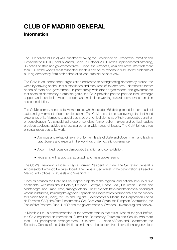# **CLUB OF MADRID GENERAL**

## **Information**

The Club of Madrid (CoM) was launched following the Conference on Democratic Transition and Consolidation (CDTC), held in Madrid, Spain, in October 2001. At this unprecedented gathering, 35 heads of state and government from Europe, the Americas, Asia and Africa, met with more than 100 of the world's most respected scholars and policy experts to discuss the problems of building democracy from both a theoretical and practical point of view.

The CoM is an independent organization dedicated to strengthening democracy around the world by drawing on the unique experience and resources of its Members – democratic former heads of state and government. In partnership with other organizations and governments that share its democracy-promotion goals, the CoM provides peer to peer counsel, strategic support and technical advice to leaders and institutions working towards democratic transition and consolidation.

The CoM's primary asset is its Membership, which includes 66 distinguished former heads of state and government of democratic nations. The CoM seeks to use as leverage the first-hand experience of its Members to assist countries with critical elements of their democratic transition or consolidation. A distinguished group of scholars, former policy makers and political leaders provides additional advice and assistance on a wide range of issues. The CoM brings three principal resources to its work:

- A unique and extraordinary mix of former Heads of State and Government and leading practitioners and experts in the workings of democratic governance.
- A committed focus on democratic transition and consolidation.
- Programs with a practical approach and measurable results.

The CoM's President is Ricardo Lagos, former President of Chile. The Secretary General is Ambassador Fernando Perpiñá-Robert. The General Secretariat of the organization is based in Madrid, with offices in Brussels and Washington.

Since its creation the CoM has developed projects at the regional and national level in all five continents, with missions in Bolivia, Ecuador, Georgia, Ghana, Mali, Mauritania, Serbia and Montenegro, and Timor-Leste, amongst others. These projects have had the financial backing of various institutions, including the Agencia Española de Cooperación Internacional and the Ministry for Foreign Affairs (Spain), the City and Regional Governments of Madrid, the Corporación Andina de Fomento (CAF), the State Department (USA), Casa Asia (Spain), the European Commission, the Rockefeller Brothers Fund, UNDP and the governments of Sweden, Luxembourg and Norway.

In March 2005, in commemoration of the terrorist attacks that struck Madrid the year before, the CoM organized an International Summit on Democracy, Terrorism and Security with more than 1,200 participants, amongst them 200 experts, 17 Heads of State and Government, the Secretary General of the United Nations and many other leaders from international organizations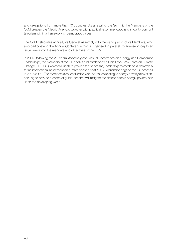and delegations from more than 70 countries. As a result of the Summit, the Members of the CoM created the Madrid Agenda, together with practical recommendations on how to confront terrorism within a framework of democratic values.

The CoM celebrates annually its General Assembly with the participation of its Members, who also participate in the Annual Conference that is organised in parallel, to analyse in depth an issue relevant to the mandate and objectives of the CoM.

In 2007, following the V General Assembly and Annual Conference on "Energy and Democratic Leadership", the Members of the Club of Madrid established a High Level Task Force on Climate Change (HLTFCC) which will seek to provide the necessary leadership to establish a framework for an international agreement on climate change post-2012, working to engage the G8 process in 2007/2008. The Members also resolved to work on issues relating to energy poverty alleviation, seeking to provide a series of guidelines that will mitigate the drastic effects energy poverty has upon the developing world.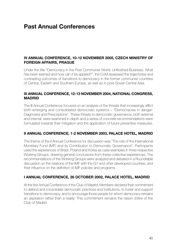## **Past Annual Conferences**

### **IV Annual Conference, 10-12 November 2005, Czech Ministry of Foreign Affairs, Prague**

Under the title "Democracy in the Post Communist World: Unfinished Business. What has been learned and how can it be applied?", the CoM assessed the trajectories and contrasting outcomes of transitions to democracy in the former communist countries of Central, Eastern and Southern Europe, as well as in post-Soviet Central Asia.

### **III Annual Conference, 12-13 November 2004, National Congress, Madrid**

The III Annual Conference focused on an analysis of the threats that increasingly afflict both emerging and consolidated democratic systems – "Democracies in danger: Diagnoses and Prescriptions". These threats to democratic governance, both external and internal, were examined in depth and a series of concrete recommendations were formulated towards their mitigation and the application of future preventive measures.

### **II Annual Conference, 1-2 November 2003, Palace Hotel, Madrid**

The theme of the II Annual Conference for discussion was "The role of the International Monetary Fund (IMF) and its Contribution to Democratic Governance". Participants used the experiences of Brazil, Poland and Korea as case examples in three respective Working Groups, drawing general conclusions from these collective experiences. The recommendations of the Working Groups were analyzed and debated in a Roundtable discussion on the relations of the IMF with the G7 and other developed countries, and their influence on the definition of IMF policies and programs.

### **I Annual Conference, 26 October 2002, Palace Hotel, Madrid**

At the first Annual Conference of the Club of Madrid, Members declared their commitment to defend and consolidate democratic practices and institutions, to foster and support transitions to democracy, and to encourage those people for whom democracy remains an aspiration rather than a reality. This commitment remains the raison d´être of the Club of Madrid.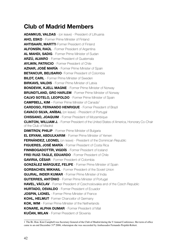## **Club of Madrid Members**

**Adamkus, Valdas** - (on leave) - President of Lithuania **Aho, Esko** - Former Prime Minister of Finland **AHTISAARI. MARTTI-Former President of Finland Alfonsín, Raúl** - Former President of Argentina **Al Mahdi, Sadig** - Former Prime Minister of Sudan **Arzú, Alvaro** - Former President of Guatemala **Aylwin, Patricio** - Former President of Chile **Aznar, José María** - Former Prime Minister of Spain **BETANCUR, BELISARIO**- Former President of Colombia **BILDT, CARL** - Former Prime Minister of Sweden **BIRKAVS, VALDIS** - Former Prime Minister of Latvia **Bondevik, Kjell Magne** - Former Prime Minister of Norway **BRUNDTLAND, GRO HARLEM** - Former Prime Minister of Norway **Calvo Sotelo, Leopoldo** - Former Prime Minister of Spain **CAMPBELL, KIM** – Former Prime Minister of Canada<sup>1</sup> **CARDOSO, FERNANDO HENRIQUE** - Former President of Brazil **Cavaco Silva, Aníbal** (on leave) - President of Portugal **Chissano, Joaquim** - Former President of Mozambique **Clinton, William J.** - Former President of the United States of America, Honorary Co-Chair of the Club of Madrid **DIMITROV, PHILIP** - Former Prime Minister of Bulgaria **EL ERYANI, ABDULKARIM** - Former Prime Minister of Yemen **FERNÁNDEZ, LEONEL** (on leave) - President of the Dominican Republic **Figueres, José María** - Former President of Costa Rica **FINNBOGADOTTÍR, VIGDÍS** - Former President of Iceland **FREI RUIZ-TAGLE, EDUARDO** - Former President of Chile **GAVIRIA, CÉSAR** - Former President of Colombia **González Márquez, Felipe** - Former Prime Minister of Spain **GORBACHEV, MIKHAIL** - Former President of the Soviet Union **GUJRAL, INDER KUMAR** - Former Prime Minister of India **GUTERRES, ANTÓNIO** - Former Prime Minister of Portugal **Havel, Václav** - Former President of Czechoslovakia and of the Czech Republic **HURTADO, OSVALDO** - Former President of Fouador **JOSPIN, LIONEL** - Former Prime Minister of France **Kohl, Helmut**- Former Chancellor of Germany **Kok, Wim** - Former Prime Minister of the Netherlands **Konare, Alpha Oumar** - Former President of Mali **KUČAN, MILAN** - Former President of Slovenia

The Rt. Hon. Kim Campbell was Secretary General of the Club of Madrid during the V Annual Conference. Her term of office came to an end December 31<sup>th</sup> 2006, whereupon she was succeeded by Ambassador Fernando Perpiñá-Robert.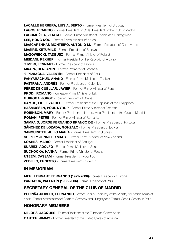**LACALLE HERRERA, LUIS ALBERTO - Former President of Uruguay Lagos, Ricardo** - Former President of Chile, President of the Club of Madrid **LAGUMDŽIJA, ZLATKO** - Former Prime Minister of Bosnia and Herzegovina **Lee, Hong Koo** - Former Prime Minister of Korea **Mascarenhas Monteiro, Antonio M.** - Former President of Cape Verde **Masire, Ketumile** - Former President of Botswana **Mazowiecki, Tadeusz** - Former Prime Minister of Poland **Meidani, Rexhep** - Former President of the Republic of Albania U **Meri, Lennart** - Former President of Estonia **MKAPA, BENJAMIN** - Former President of Tanzania U **Paniagua, Valentín** - Former President of Peru **Panyarachun, Anand** - Former Prime Minister of Thailand **Pastrana, Andrés** - Former President of Colombia **Pérez de Cuéllar, Javier** - Former Prime Minister of Peru **PRODI, ROMANO** - (on leave) Prime Minister of Italy **QUIROGA, JORGE** - Former President of Bolivia **Ramos, Fidel Valdes** - Former President of the Republic of the Philippines **Rasmussen, Poul Nyrup** - Former Prime Minister of Denmark **Robinson, Mary** - Former President of Ireland, Vice-President of the Club of Madrid **Roman, Petre** - Former Prime Minister of Romania **SAMPAIO, JORGE FERNANDO BRANCO DE – Former President of Portugal SÁNCHEZ DE LOZADA, GONZALO** - Former President of Bolivia **SANGUINETTI, JULIO MARÍA** - Former President of Uruguay **SHIPLEY, JENNIFER MARY** - Former Prime Minister of New Zealand **SOARES, MARIO** - Former President of Portugal **SUÁREZ, ADOLFO** - Former Prime Minister of Spain **SUCHOCKA, HANNA** - Former Prime Minister of Poland **UTEEM, CASSAM** - Former President of Mauritius **Zedillo, Ernesto** - Former President of Mexico

### **IN MEMORIAM**

**MERI, LENNART, FERNANDO (1929-2006)**- Former President of Estonia **PANIAGUA, VALENTÍN (1936-2006)**- Former President of Peru

### **SECRETARY-GENERAL OF THE CLUB OF MADRID**

**PERPIÑA-ROBERT, FERNANDO**, Former Deputy Secretary of the Ministry of Foreign Affairs of Spain, Former Ambassador of Spain to Germany and Hungary and Former Consul General in Paris.

### **Honorary Members**

**DELORS, JACQUES** - Former President of the European Commission **CARTER. JIMMY** - Former President of the United States of America